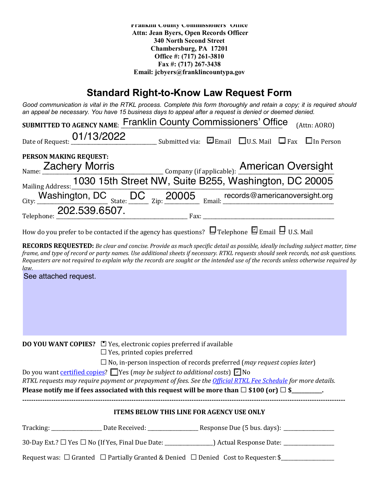**Franklin County Commissioners' Office Attn: Jean Byers, Open Records Officer 340 North Second Street Chambersburg, PA 17201 Office #: (717) 261-3810 Fax #: (717) 267-3438 Email: jcbyers@franklincountypa.gov**

# **Standard Right-to-Know Law Request Form**

*Good communication is vital in the RTKL process. Complete this form thoroughly and retain a copy; it is required should an appeal be necessary. You have 15 business days to appeal after a request is denied or deemed denied.* 

| SUBMITTED TO AGENCY NAME: Franklin County Commissioners' Office<br>(Attn: AORO)                                                                                                                                                                                                                                                                                                                                         |
|-------------------------------------------------------------------------------------------------------------------------------------------------------------------------------------------------------------------------------------------------------------------------------------------------------------------------------------------------------------------------------------------------------------------------|
| Date of Request: $01/13/2022$ Submitted via: $\Box$ Email $\Box$ U.S. Mail $\Box$ Fax $\Box$ In Person                                                                                                                                                                                                                                                                                                                  |
| PERSON MAKING REQUEST:<br>Name: Zachery Morris<br>Mailing Address: 1030 15th Street NW, Suite B255, Washington, DC 20005<br>City: Washington, DC State: DC Zip: 20005 Email: records@americanoversight.org<br>Telephone: 202.539.6507.                                                                                                                                                                                  |
|                                                                                                                                                                                                                                                                                                                                                                                                                         |
| How do you prefer to be contacted if the agency has questions? $\Box$ Telephone $\Box$ Email $\Box$ U.S. Mail                                                                                                                                                                                                                                                                                                           |
| <b>RECORDS REQUESTED:</b> Be clear and concise. Provide as much specific detail as possible, ideally including subject matter, time<br>frame, and type of record or party names. Use additional sheets if necessary. RTKL requests should seek records, not ask questions.<br>Requesters are not required to explain why the records are sought or the intended use of the records unless otherwise required by<br>law. |
| See attached request.                                                                                                                                                                                                                                                                                                                                                                                                   |
| <b>DO YOU WANT COPIES?</b> $\Box$ Yes, electronic copies preferred if available<br>$\Box$ Yes, printed copies preferred<br>$\Box$ No, in-person inspection of records preferred ( <i>may request copies later</i> )                                                                                                                                                                                                     |
| Do you want certified copies? $\Box$ Yes (may be subject to additional costs) $\Box$ No<br>RTKL requests may require payment or prepayment of fees. See the Official RTKL Fee Schedule for more details.<br>Please notify me if fees associated with this request will be more than $\Box$ \$100 (or) $\Box$ \$________.                                                                                                |
| ITEMS BELOW THIS LINE FOR AGENCY USE ONLY                                                                                                                                                                                                                                                                                                                                                                               |
| Tracking: ___________________Date Received: __________________________Response Due (5 bus. days): __________________                                                                                                                                                                                                                                                                                                    |
| 30-Day Ext.? □ Yes □ No (If Yes, Final Due Date: _________________) Actual Response Date: _______________                                                                                                                                                                                                                                                                                                               |
| Request was: $\Box$ Granted $\Box$ Partially Granted & Denied $\Box$ Denied Cost to Requester: \$                                                                                                                                                                                                                                                                                                                       |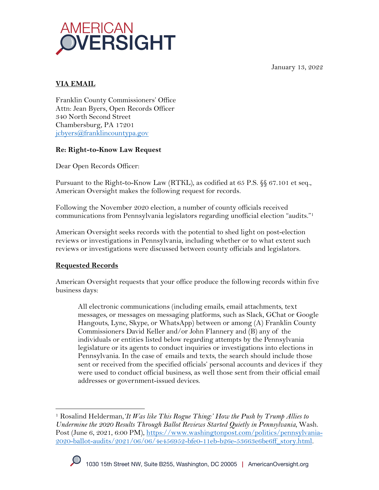January 13, 2022



# **VIA EMAIL**

Franklin County Commissioners' Office Attn: Jean Byers, Open Records Officer 340 North Second Street Chambersburg, PA 17201 jcbyers@franklincountypa.gov

# **Re: Right-to-Know Law Request**

Dear Open Records Officer:

Pursuant to the Right-to-Know Law (RTKL), as codified at 65 P.S. §§ 67.101 et seq., American Oversight makes the following request for records.

Following the November 2020 election, a number of county officials received communications from Pennsylvania legislators regarding unofficial election "audits."1

American Oversight seeks records with the potential to shed light on post-election reviews or investigations in Pennsylvania, including whether or to what extent such reviews or investigations were discussed between county officials and legislators.

#### **Requested Records**

American Oversight requests that your office produce the following records within five business days:

All electronic communications (including emails, email attachments, text messages, or messages on messaging platforms, such as Slack, GChat or Google Hangouts, Lync, Skype, or WhatsApp) between or among (A) Franklin County Commissioners David Keller and/or John Flannery and (B) any of the individuals or entities listed below regarding attempts by the Pennsylvania legislature or its agents to conduct inquiries or investigations into elections in Pennsylvania. In the case of emails and texts, the search should include those sent or received from the specified officials' personal accounts and devices if they were used to conduct official business, as well those sent from their official email addresses or government-issued devices.

<sup>1</sup> Rosalind Helderman,*'It Was like This Rogue Thing:' How the Push by Trump Allies to Undermine the 2020 Results Through Ballot Reviews Started Quietly in Pennsylvania,* Wash. Post (June 6, 2021, 6:00 PM), https://www.washingtonpost.com/politics/pennsylvania-2020-ballot-audits/2021/06/06/4e456952-bfe0-11eb-b26e-53663e6be6ff\_story.html.

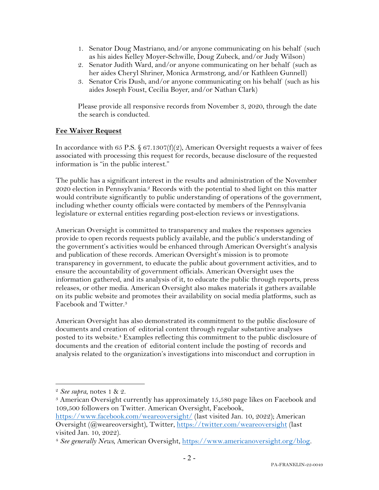- 1. Senator Doug Mastriano, and/or anyone communicating on his behalf (such as his aides Kelley Moyer-Schwille, Doug Zubeck, and/or Judy Wilson)
- 2. Senator Judith Ward, and/or anyone communicating on her behalf (such as her aides Cheryl Shriner, Monica Armstrong, and/or Kathleen Gunnell)
- 3. Senator Cris Dush, and/or anyone communicating on his behalf (such as his aides Joseph Foust, Cecilia Boyer, and/or Nathan Clark)

Please provide all responsive records from November 3, 2020, through the date the search is conducted.

# **Fee Waiver Request**

In accordance with 65 P.S.  $$ 67.1307(f)(2)$ , American Oversight requests a waiver of fees associated with processing this request for records, because disclosure of the requested information is "in the public interest."

The public has a significant interest in the results and administration of the November 2020 election in Pennsylvania.2 Records with the potential to shed light on this matter would contribute significantly to public understanding of operations of the government, including whether county officials were contacted by members of the Pennsylvania legislature or external entities regarding post-election reviews or investigations.

American Oversight is committed to transparency and makes the responses agencies provide to open records requests publicly available, and the public's understanding of the government's activities would be enhanced through American Oversight's analysis and publication of these records. American Oversight's mission is to promote transparency in government, to educate the public about government activities, and to ensure the accountability of government officials. American Oversight uses the information gathered, and its analysis of it, to educate the public through reports, press releases, or other media. American Oversight also makes materials it gathers available on its public website and promotes their availability on social media platforms, such as Facebook and Twitter.3

American Oversight has also demonstrated its commitment to the public disclosure of documents and creation of editorial content through regular substantive analyses posted to its website.4 Examples reflecting this commitment to the public disclosure of documents and the creation of editorial content include the posting of records and analysis related to the organization's investigations into misconduct and corruption in

<sup>2</sup> *See supra*, notes 1 & 2.

<sup>3</sup> American Oversight currently has approximately 15,580 page likes on Facebook and 109,500 followers on Twitter. American Oversight, Facebook,

https://www.facebook.com/weareoversight/ (last visited Jan. 10, 2022); American Oversight (@weareoversight), Twitter, https://twitter.com/weareoversight (last visited Jan. 10, 2022).

<sup>4</sup> *See generally News*, American Oversight, https://www.americanoversight.org/blog.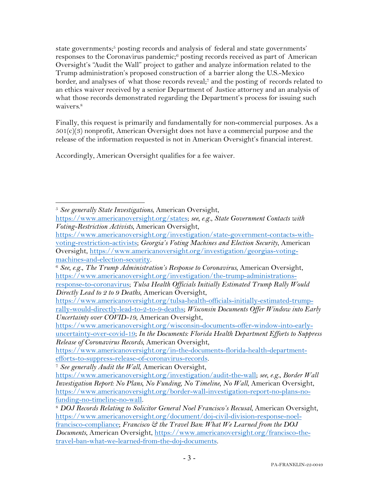state governments; <sup>5</sup> posting records and analysis of federal and state governments' responses to the Coronavirus pandemic;6 posting records received as part of American Oversight's "Audit the Wall" project to gather and analyze information related to the Trump administration's proposed construction of a barrier along the U.S.-Mexico border, and analyses of what those records reveal;<sup>7</sup> and the posting of records related to an ethics waiver received by a senior Department of Justice attorney and an analysis of what those records demonstrated regarding the Department's process for issuing such waivers.<sup>8</sup>

Finally, this request is primarily and fundamentally for non-commercial purposes. As a  $501(c)(3)$  nonprofit, American Oversight does not have a commercial purpose and the release of the information requested is not in American Oversight's financial interest.

Accordingly, American Oversight qualifies for a fee waiver.

<sup>5</sup> *See generally State Investigations*, American Oversight,

https://www.americanoversight.org/states; *see, e.g.*, *State Government Contacts with Voting-Restriction Activists,* American Oversight,

https://www.americanoversight.org/investigation/state-government-contacts-withvoting-restriction-activists; *Georgia's Voting Machines and Election Security*, American Oversight, https://www.americanoversight.org/investigation/georgias-voting-

machines-and-election-security. 6 *See, e.g.*, *The Trump Administration's Response to Coronavirus*, American Oversight, https://www.americanoversight.org/investigation/the-trump-administrations-

response-to-coronavirus; *Tulsa Health Officials Initially Estimated Trump Rally Would Directly Lead to 2 to 9 Deaths*, American Oversight,

https://www.americanoversight.org/tulsa-health-officials-initially-estimated-trumprally-would-directly-lead-to-2-to-9-deaths; *Wisconsin Documents Offer Window into Early Uncertainty over COVID-19*, American Oversight,

https://www.americanoversight.org/wisconsin-documents-offer-window-into-earlyuncertainty-over-covid-19; *In the Documents: Florida Health Department Efforts to Suppress Release of Coronavirus Records*, American Oversight,

https://www.americanoversight.org/in-the-documents-florida-health-departmentefforts-to-suppress-release-of-coronavirus-records. 7 *See generally Audit the Wall*, American Oversight,

https://www.americanoversight.org/investigation/audit-the-wall; *see, e.g.*, *Border Wall Investigation Report: No Plans, No Funding, No Timeline, No Wall*, American Oversight, https://www.americanoversight.org/border-wall-investigation-report-no-plans-nofunding-no-timeline-no-wall. 8 *DOJ Records Relating to Solicitor General Noel Francisco's Recusal*, American Oversight,

https://www.americanoversight.org/document/doj-civil-division-response-noelfrancisco-compliance; *Francisco & the Travel Ban: What We Learned from the DOJ Documents*, American Oversight, https://www.americanoversight.org/francisco-thetravel-ban-what-we-learned-from-the-doj-documents.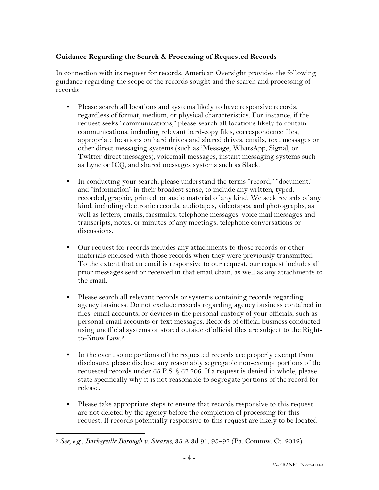### **Guidance Regarding the Search & Processing of Requested Records**

In connection with its request for records, American Oversight provides the following guidance regarding the scope of the records sought and the search and processing of records:

- Please search all locations and systems likely to have responsive records, regardless of format, medium, or physical characteristics. For instance, if the request seeks "communications," please search all locations likely to contain communications, including relevant hard-copy files, correspondence files, appropriate locations on hard drives and shared drives, emails, text messages or other direct messaging systems (such as iMessage, WhatsApp, Signal, or Twitter direct messages), voicemail messages, instant messaging systems such as Lync or ICQ, and shared messages systems such as Slack.
- In conducting your search, please understand the terms "record," "document," and "information" in their broadest sense, to include any written, typed, recorded, graphic, printed, or audio material of any kind. We seek records of any kind, including electronic records, audiotapes, videotapes, and photographs, as well as letters, emails, facsimiles, telephone messages, voice mail messages and transcripts, notes, or minutes of any meetings, telephone conversations or discussions.
- Our request for records includes any attachments to those records or other materials enclosed with those records when they were previously transmitted. To the extent that an email is responsive to our request, our request includes all prior messages sent or received in that email chain, as well as any attachments to the email.
- Please search all relevant records or systems containing records regarding agency business. Do not exclude records regarding agency business contained in files, email accounts, or devices in the personal custody of your officials, such as personal email accounts or text messages. Records of official business conducted using unofficial systems or stored outside of official files are subject to the Rightto-Know Law.9
- In the event some portions of the requested records are properly exempt from disclosure, please disclose any reasonably segregable non-exempt portions of the requested records under 65 P.S. § 67.706. If a request is denied in whole, please state specifically why it is not reasonable to segregate portions of the record for release.
- Please take appropriate steps to ensure that records responsive to this request are not deleted by the agency before the completion of processing for this request. If records potentially responsive to this request are likely to be located

<sup>9</sup> *See, e.g.*, *Barkeyville Borough v. Stearns*, 35 A.3d 91, 95–97 (Pa. Commw. Ct. 2012).